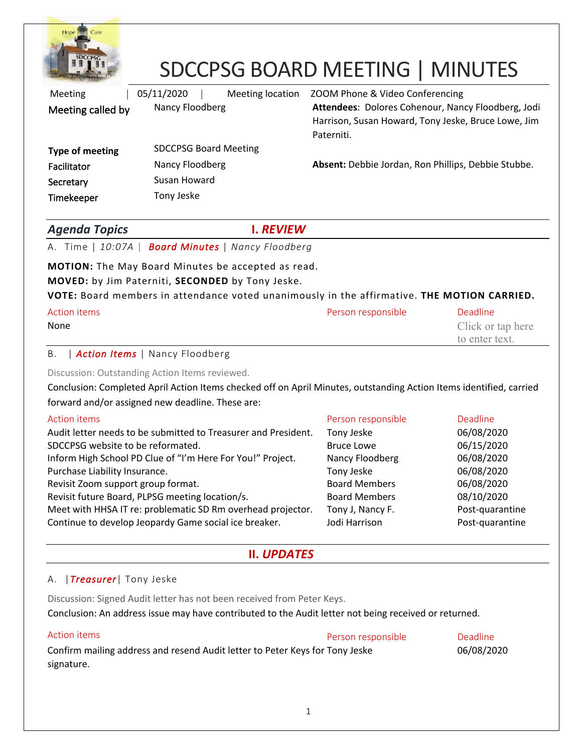

# SDCCPSG BOARD MEETING | MINUTES

| Meeting           | 05/11/2020<br>Meeting location | ZOOM Phone & Video Conferencing                                                                                         |
|-------------------|--------------------------------|-------------------------------------------------------------------------------------------------------------------------|
| Meeting called by | Nancy Floodberg                | Attendees: Dolores Cohenour, Nancy Floodberg, Jodi<br>Harrison, Susan Howard, Tony Jeske, Bruce Lowe, Jim<br>Paterniti. |
| Type of meeting   | <b>SDCCPSG Board Meeting</b>   |                                                                                                                         |
| Facilitator       | Nancy Floodberg                | Absent: Debbie Jordan, Ron Phillips, Debbie Stubbe.                                                                     |
| Secretary         | Susan Howard                   |                                                                                                                         |
| Timekeeper        | Tony Jeske                     |                                                                                                                         |

### *Agenda Topics* **I.** *REVIEW*

A. Time | *10:07A* | *Board Minutes* | *Nancy Floodberg*

#### **MOTION:** The May Board Minutes be accepted as read.

#### **MOVED:** by Jim Paterniti, **SECONDED** by Tony Jeske.

#### **VOTE:** Board members in attendance voted unanimously in the affirmative. **THE MOTION CARRIED.**

| Action items | Person responsible | Deadline          |
|--------------|--------------------|-------------------|
| None         |                    | Click or tap here |
|              |                    | to enter text.    |

#### B. | *Action Items* | Nancy Floodberg

Discussion: Outstanding Action Items reviewed.

Conclusion: Completed April Action Items checked off on April Minutes, outstanding Action Items identified, carried forward and/or assigned new deadline. These are:

| <b>Action items</b>                                            | Person responsible   | Deadline        |
|----------------------------------------------------------------|----------------------|-----------------|
| Audit letter needs to be submitted to Treasurer and President. | Tony Jeske           | 06/08/2020      |
| SDCCPSG website to be reformated.                              | <b>Bruce Lowe</b>    | 06/15/2020      |
| Inform High School PD Clue of "I'm Here For You!" Project.     | Nancy Floodberg      | 06/08/2020      |
| Purchase Liability Insurance.                                  | Tony Jeske           | 06/08/2020      |
| Revisit Zoom support group format.                             | <b>Board Members</b> | 06/08/2020      |
| Revisit future Board, PLPSG meeting location/s.                | <b>Board Members</b> | 08/10/2020      |
| Meet with HHSA IT re: problematic SD Rm overhead projector.    | Tony J, Nancy F.     | Post-quarantine |
| Continue to develop Jeopardy Game social ice breaker.          | Jodi Harrison        | Post-quarantine |

# **II.** *UPDATES*

#### A. |*Treasurer*| Tony Jeske

Discussion: Signed Audit letter has not been received from Peter Keys.

Conclusion: An address issue may have contributed to the Audit letter not being received or returned.

## Action items **Person responsible Person responsible Person responsible Person responsible** Confirm mailing address and resend Audit letter to Peter Keys for Tony Jeske 06/08/2020 signature.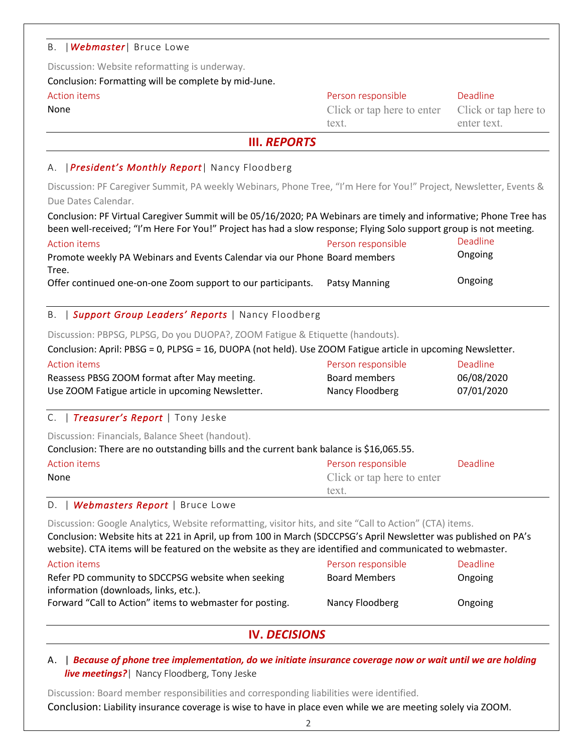#### B. |*Webmaster*| Bruce Lowe

Discussion: Website reformatting is underway.

Conclusion: Formatting will be complete by mid-June.

#### Action items **Person responsible** Person responsible **Person responsible** Deadline

None Click or tap here to enter text.

Click or tap here to enter text.

#### **III.** *REPORTS*

### A. |*President's Monthly Report*| Nancy Floodberg

Discussion: PF Caregiver Summit, PA weekly Webinars, Phone Tree, "I'm Here for You!" Project, Newsletter, Events & Due Dates Calendar.

Conclusion: PF Virtual Caregiver Summit will be 05/16/2020; PA Webinars are timely and informative; Phone Tree has been well-received; "I'm Here For You!" Project has had a slow response; Flying Solo support group is not meeting.

| Action items                                                               | Person responsible | Deadline |
|----------------------------------------------------------------------------|--------------------|----------|
| Promote weekly PA Webinars and Events Calendar via our Phone Board members |                    | Ongoing  |
| Tree.                                                                      |                    |          |
| Offer continued one-on-one Zoom support to our participants.               | Patsy Manning      | Ongoing  |

#### B. | *Support Group Leaders' Reports* | Nancy Floodberg

Discussion: PBPSG, PLPSG, Do you DUOPA?, ZOOM Fatigue & Etiquette (handouts).

Conclusion: April: PBSG = 0, PLPSG = 16, DUOPA (not held). Use ZOOM Fatigue article in upcoming Newsletter.

| Action items                                     | Person responsible | <b>Deadline</b> |
|--------------------------------------------------|--------------------|-----------------|
| Reassess PBSG ZOOM format after May meeting.     | Board members      | 06/08/2020      |
| Use ZOOM Fatigue article in upcoming Newsletter. | Nancy Floodberg    | 07/01/2020      |

#### C. | *Treasurer's Report* | Tony Jeske

Discussion: Financials, Balance Sheet (handout).

Conclusion: There are no outstanding bills and the current bank balance is \$16,065.55.

| Action items | Person responsible         | Deadline |
|--------------|----------------------------|----------|
| None         | Click or tap here to enter |          |
|              | text.                      |          |

#### D. | *Webmasters Report* | Bruce Lowe

Discussion: Google Analytics, Website reformatting, visitor hits, and site "Call to Action" (CTA) items. Conclusion: Website hits at 221 in April, up from 100 in March (SDCCPSG's April Newsletter was published on PA's website). CTA items will be featured on the website as they are identified and communicated to webmaster.

| Action items                                             | Person responsible   | <b>Deadline</b> |
|----------------------------------------------------------|----------------------|-----------------|
| Refer PD community to SDCCPSG website when seeking       | <b>Board Members</b> | Ongoing         |
| information (downloads, links, etc.).                    |                      |                 |
| Forward "Call to Action" items to webmaster for posting. | Nancy Floodberg      | Ongoing         |

# **IV.** *DECISIONS*

A. | *Because of phone tree implementation, do we initiate insurance coverage now or wait until we are holding live meetings?*| Nancy Floodberg, Tony Jeske

Discussion: Board member responsibilities and corresponding liabilities were identified.

Conclusion: Liability insurance coverage is wise to have in place even while we are meeting solely via ZOOM.